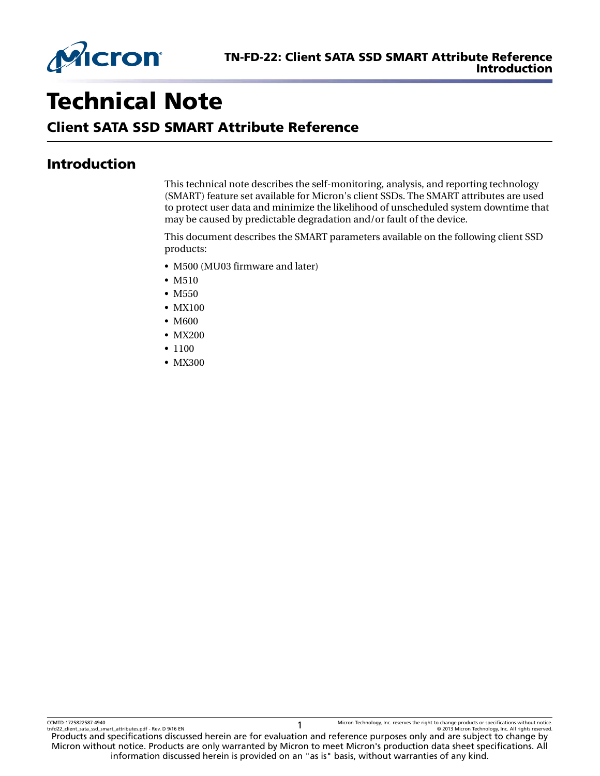

# Technical Note

# Client SATA SSD SMART Attribute Reference

# Introduction

This technical note describes the self-monitoring, analysis, and reporting technology (SMART) feature set available for Micron's client SSDs. The SMART attributes are used to protect user data and minimize the likelihood of unscheduled system downtime that may be caused by predictable degradation and/or fault of the device.

This document describes the SMART parameters available on the following client SSD products:

- M500 (MU03 firmware and later)
- M510
- M<sub>550</sub>
- MX100
- M600
- MX200
- 1100
- MX300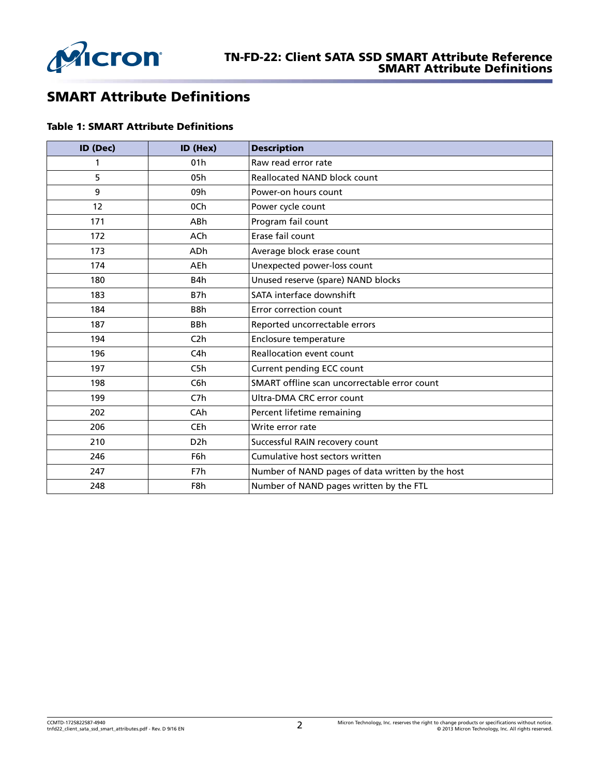

# SMART Attribute Definitions

#### Table 1: SMART Attribute Definitions

| ID (Dec) | ID (Hex)         | <b>Description</b>                               |
|----------|------------------|--------------------------------------------------|
| 1        | 01h              | Raw read error rate                              |
| 5        | 05h              | <b>Reallocated NAND block count</b>              |
| 9        | 09h              | Power-on hours count                             |
| 12       | 0Ch              | Power cycle count                                |
| 171      | <b>ABh</b>       | Program fail count                               |
| 172      | ACh              | Erase fail count                                 |
| 173      | <b>ADh</b>       | Average block erase count                        |
| 174      | AEh              | Unexpected power-loss count                      |
| 180      | B4h              | Unused reserve (spare) NAND blocks               |
| 183      | B7h              | SATA interface downshift                         |
| 184      | B8h              | Error correction count                           |
| 187      | <b>BBh</b>       | Reported uncorrectable errors                    |
| 194      | C <sub>2</sub> h | Enclosure temperature                            |
| 196      | C4h              | Reallocation event count                         |
| 197      | C5h              | Current pending ECC count                        |
| 198      | C <sub>6</sub> h | SMART offline scan uncorrectable error count     |
| 199      | C <sub>7</sub> h | Ultra-DMA CRC error count                        |
| 202      | CAh              | Percent lifetime remaining                       |
| 206      | CEh              | Write error rate                                 |
| 210      | D <sub>2</sub> h | Successful RAIN recovery count                   |
| 246      | F6h              | Cumulative host sectors written                  |
| 247      | F7h              | Number of NAND pages of data written by the host |
| 248      | F8h              | Number of NAND pages written by the FTL          |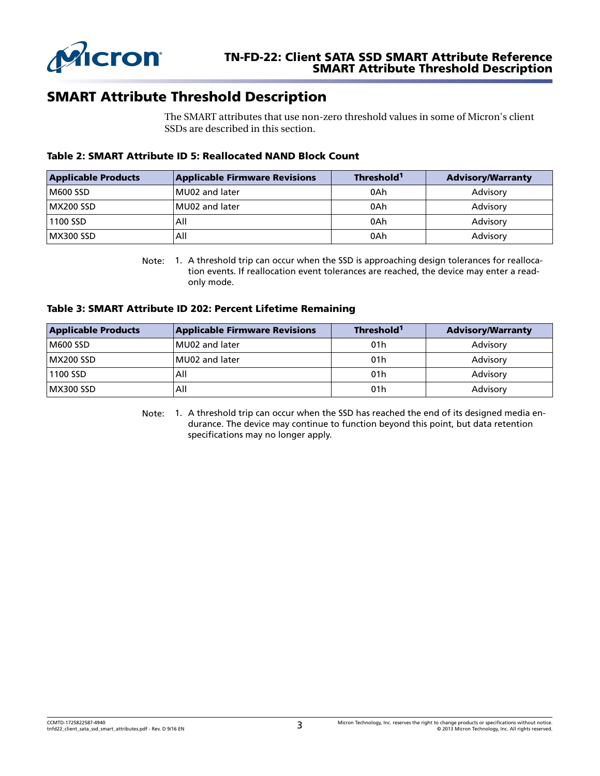<span id="page-2-0"></span>

# SMART Attribute Threshold Description

The SMART attributes that use non-zero threshold values in some of Micron's client SSDs are described in this section.

#### Table 2: SMART Attribute ID 5: Reallocated NAND Block Count

| <b>Applicable Products</b> | <b>Applicable Firmware Revisions</b> | Threshold <sup>1</sup> | <b>Advisory/Warranty</b> |
|----------------------------|--------------------------------------|------------------------|--------------------------|
| M600 SSD                   | MU02 and later                       | 0Ah                    | Advisory                 |
| MX200 SSD                  | MU02 and later                       | 0Ah                    | Advisory                 |
| 1100 SSD                   | All                                  | 0Ah                    | Advisory                 |
| MX300 SSD                  | All                                  | 0Ah                    | Advisory                 |

Note: 1. A threshold trip can occur when the SSD is approaching design tolerances for reallocation events. If reallocation event tolerances are reached, the device may enter a readonly mode.

#### Table 3: SMART Attribute ID 202: Percent Lifetime Remaining

| <b>Applicable Products</b> | <b>Applicable Firmware Revisions</b> | Threshold <sup>1</sup> | <b>Advisory/Warranty</b> |
|----------------------------|--------------------------------------|------------------------|--------------------------|
| M600 SSD                   | MU02 and later                       | 01 <sub>h</sub>        | Advisory                 |
| MX200 SSD                  | MU02 and later                       | 01 <sub>h</sub>        | Advisory                 |
| 1100 SSD                   | All                                  | 01 <sub>h</sub>        | Advisory                 |
| MX300 SSD                  | All                                  | 01 <sub>h</sub>        | Advisory                 |

Note: 1. A threshold trip can occur when the SSD has reached the end of its designed media endurance. The device may continue to function beyond this point, but data retention specifications may no longer apply.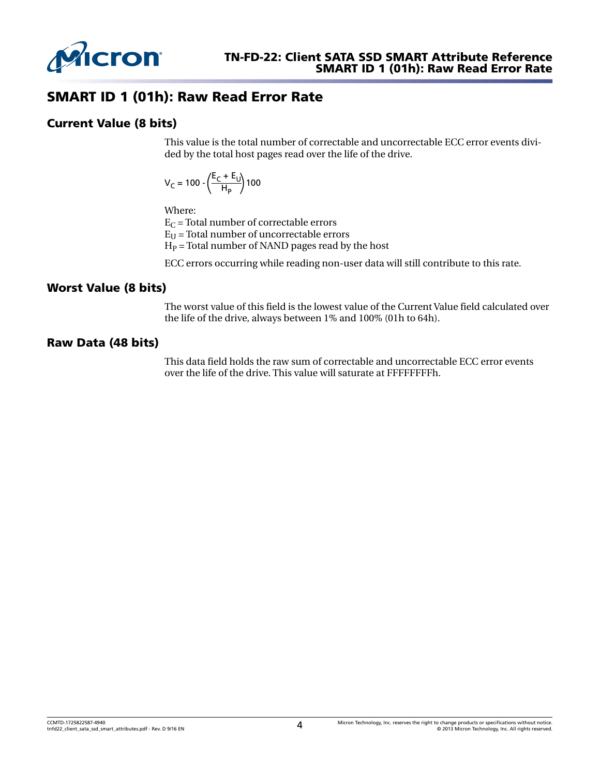

# SMART ID 1 (01h): Raw Read Error Rate

## Current Value (8 bits)

This value is the total number of correctable and uncorrectable ECC error events divided by the total host pages read over the life of the drive.

$$
V_C = 100 - \left(\frac{E_C + E_U}{H_P}\right)100
$$

Where:

 $E_C$  = Total number of correctable errors

 $E_{U}$  = Total number of uncorrectable errors

 $H<sub>P</sub>$  = Total number of NAND pages read by the host

ECC errors occurring while reading non-user data will still contribute to this rate.

#### Worst Value (8 bits)

The worst value of this field is the lowest value of the Current Value field calculated over the life of the drive, always between 1% and 100% (01h to 64h).

#### Raw Data (48 bits)

This data field holds the raw sum of correctable and uncorrectable ECC error events over the life of the drive. This value will saturate at FFFFFFFFh.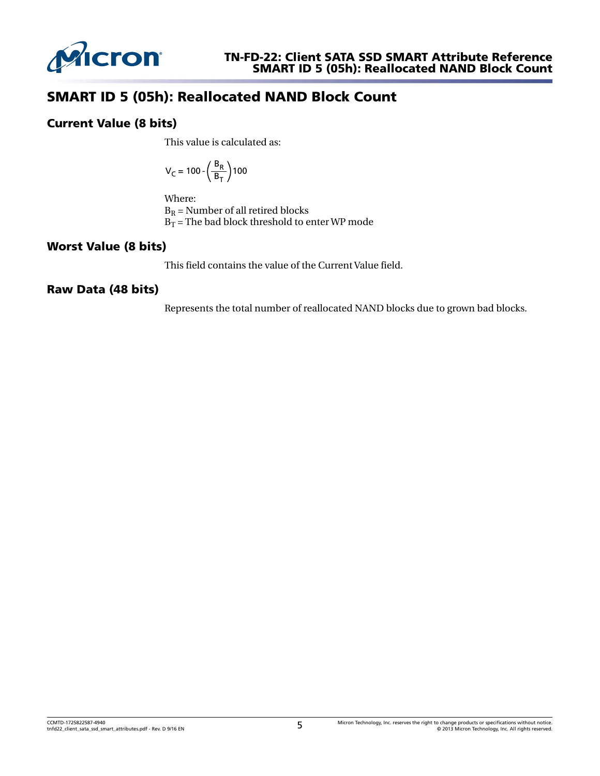

# SMART ID 5 (05h): Reallocated NAND Block Count

## Current Value (8 bits)

This value is calculated as:

$$
V_C = 100 \cdot \left(\frac{B_R}{B_T}\right)100
$$

Where:

 $B_R$  = Number of all retired blocks  $B_T$  = The bad block threshold to enter WP mode

## Worst Value (8 bits)

This field contains the value of the Current Value field.

## Raw Data (48 bits)

Represents the total number of reallocated NAND blocks due to grown bad blocks.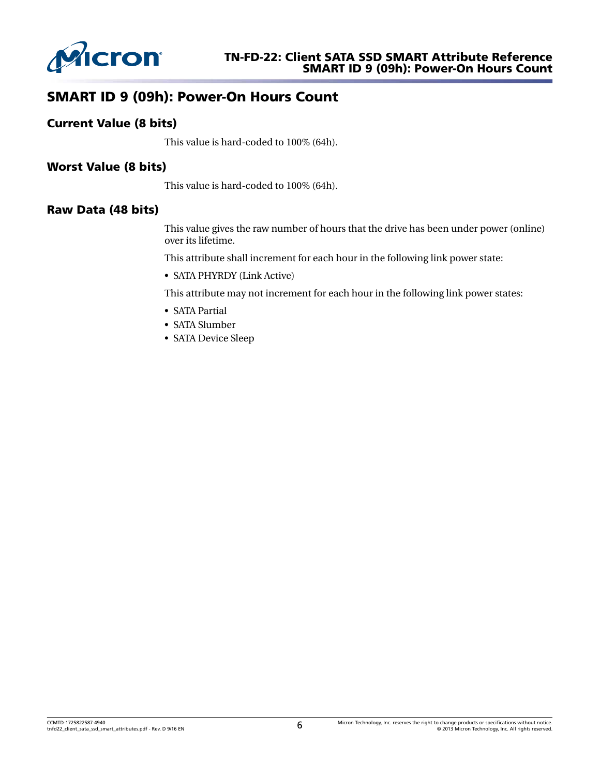

# SMART ID 9 (09h): Power-On Hours Count

## Current Value (8 bits)

This value is hard-coded to 100% (64h).

## Worst Value (8 bits)

This value is hard-coded to 100% (64h).

#### Raw Data (48 bits)

This value gives the raw number of hours that the drive has been under power (online) over its lifetime.

This attribute shall increment for each hour in the following link power state:

• SATA PHYRDY (Link Active)

This attribute may not increment for each hour in the following link power states:

- SATA Partial
- SATA Slumber
- SATA Device Sleep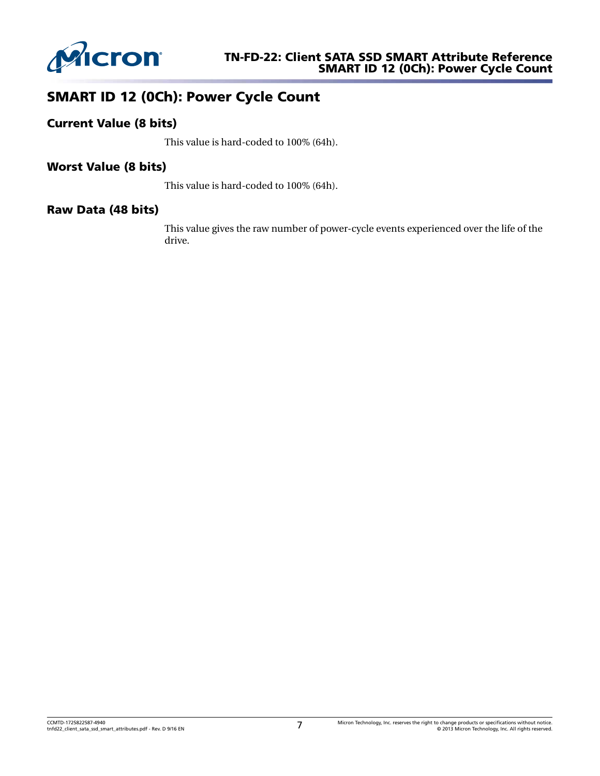

# SMART ID 12 (0Ch): Power Cycle Count

## Current Value (8 bits)

This value is hard-coded to 100% (64h).

## Worst Value (8 bits)

This value is hard-coded to 100% (64h).

#### Raw Data (48 bits)

This value gives the raw number of power-cycle events experienced over the life of the drive.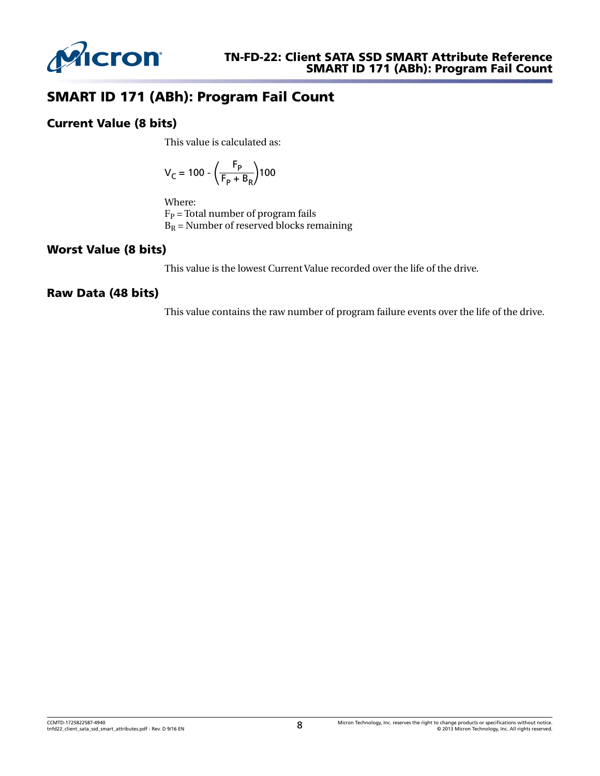

# SMART ID 171 (ABh): Program Fail Count

#### Current Value (8 bits)

This value is calculated as:

$$
V_{C} = 100 - \left(\frac{F_{P}}{F_{P} + B_{R}}\right)100
$$

Where:

 $F_P$  = Total number of program fails  $B_R$  = Number of reserved blocks remaining

## Worst Value (8 bits)

This value is the lowest Current Value recorded over the life of the drive.

## Raw Data (48 bits)

This value contains the raw number of program failure events over the life of the drive.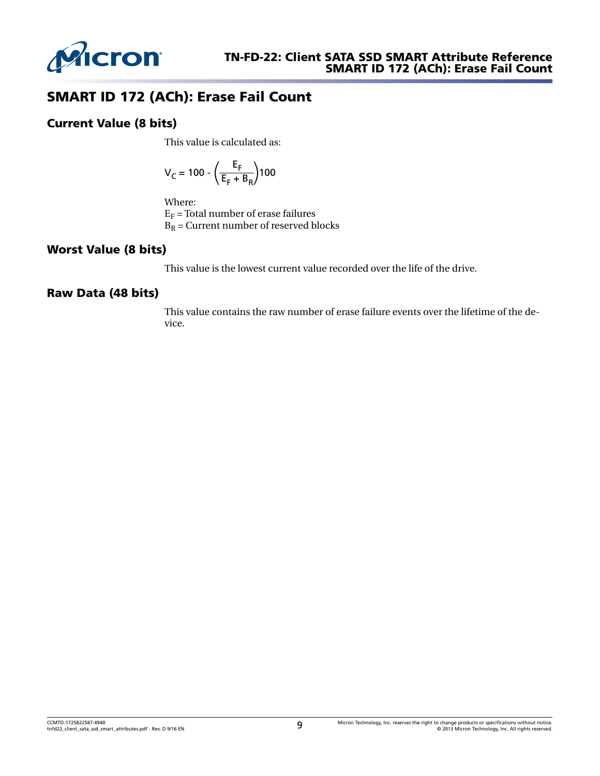

# SMART ID 172 (ACh): Erase Fail Count

## Current Value (8 bits)

This value is calculated as:

$$
V_{C} = 100 - \left(\frac{E_{F}}{E_{F} + B_{R}}\right)100
$$

Where:

 $E_F$  = Total number of erase failures  $B_R$  = Current number of reserved blocks

#### Worst Value (8 bits)

This value is the lowest current value recorded over the life of the drive.

#### Raw Data (48 bits)

This value contains the raw number of erase failure events over the lifetime of the device.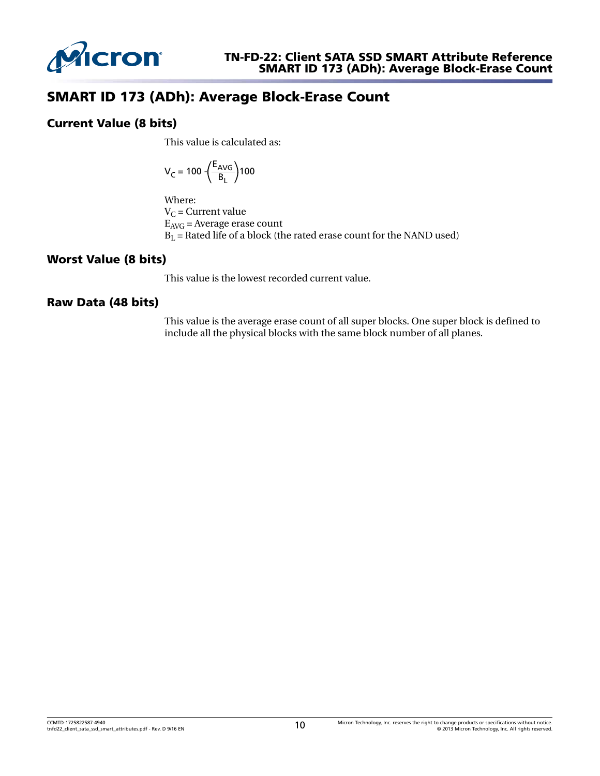

## SMART ID 173 (ADh): Average Block-Erase Count

#### Current Value (8 bits)

This value is calculated as:

$$
V_C = 100 \cdot \left(\frac{E_{AVG}}{B_L}\right)100
$$

Where:  $V_C$  = Current value  $E_{AVG}$  = Average erase count  $B_L$  = Rated life of a block (the rated erase count for the NAND used)

## Worst Value (8 bits)

This value is the lowest recorded current value.

#### Raw Data (48 bits)

This value is the average erase count of all super blocks. One super block is defined to include all the physical blocks with the same block number of all planes.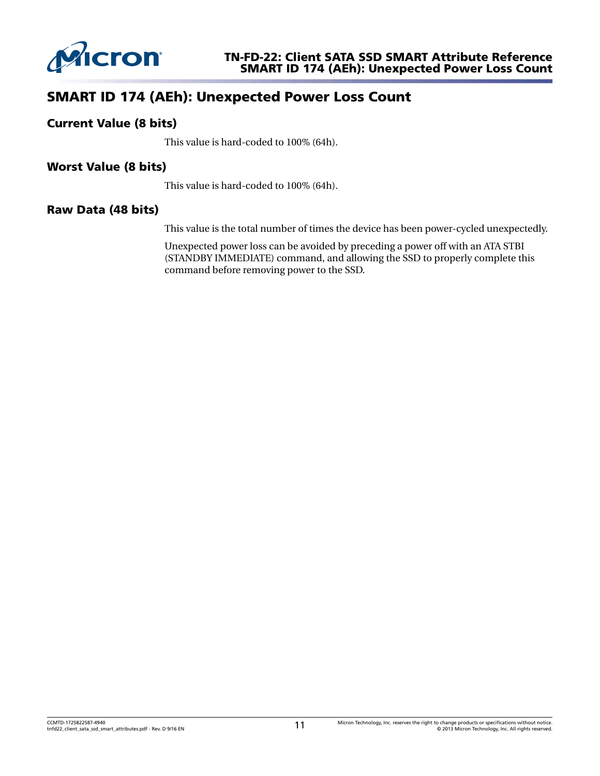

## SMART ID 174 (AEh): Unexpected Power Loss Count

#### Current Value (8 bits)

This value is hard-coded to 100% (64h).

#### Worst Value (8 bits)

This value is hard-coded to 100% (64h).

#### Raw Data (48 bits)

This value is the total number of times the device has been power-cycled unexpectedly.

Unexpected power loss can be avoided by preceding a power off with an ATA STBI (STANDBY IMMEDIATE) command, and allowing the SSD to properly complete this command before removing power to the SSD.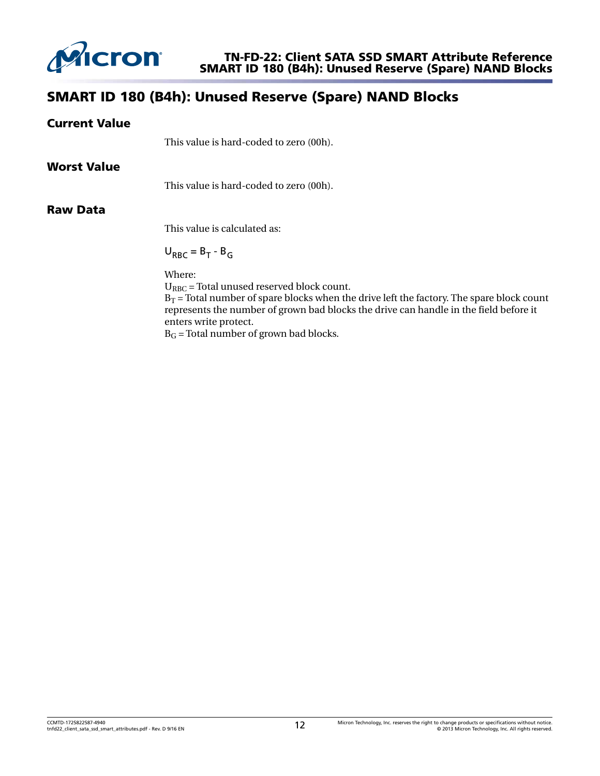

# SMART ID 180 (B4h): Unused Reserve (Spare) NAND Blocks

| <b>Current Value</b> |                                                                                                                                                                                                                                                                           |
|----------------------|---------------------------------------------------------------------------------------------------------------------------------------------------------------------------------------------------------------------------------------------------------------------------|
|                      | This value is hard-coded to zero (00h).                                                                                                                                                                                                                                   |
| <b>Worst Value</b>   |                                                                                                                                                                                                                                                                           |
|                      | This value is hard-coded to zero (00h).                                                                                                                                                                                                                                   |
| <b>Raw Data</b>      |                                                                                                                                                                                                                                                                           |
|                      | This value is calculated as:                                                                                                                                                                                                                                              |
|                      | $U_{RRC} = B_T - B_G$                                                                                                                                                                                                                                                     |
|                      | Where:<br>$U_{RBC}$ = Total unused reserved block count.<br>$B_T$ = Total number of spare blocks when the drive left the factory. The spare block count<br>represents the number of grown bad blocks the drive can handle in the field before it<br>enters write protect. |

 $B_G$  = Total number of grown bad blocks.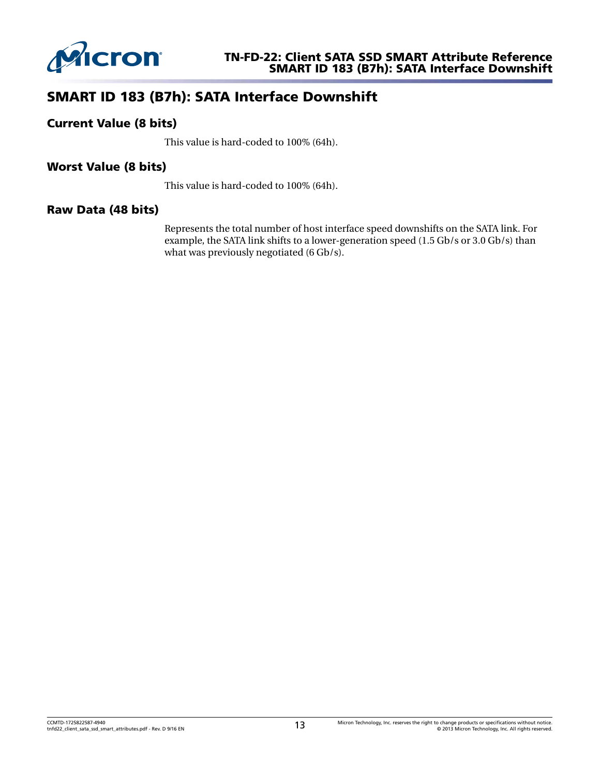

# SMART ID 183 (B7h): SATA Interface Downshift

## Current Value (8 bits)

This value is hard-coded to 100% (64h).

## Worst Value (8 bits)

This value is hard-coded to 100% (64h).

#### Raw Data (48 bits)

Represents the total number of host interface speed downshifts on the SATA link. For example, the SATA link shifts to a lower-generation speed (1.5 Gb/s or 3.0 Gb/s) than what was previously negotiated (6 Gb/s).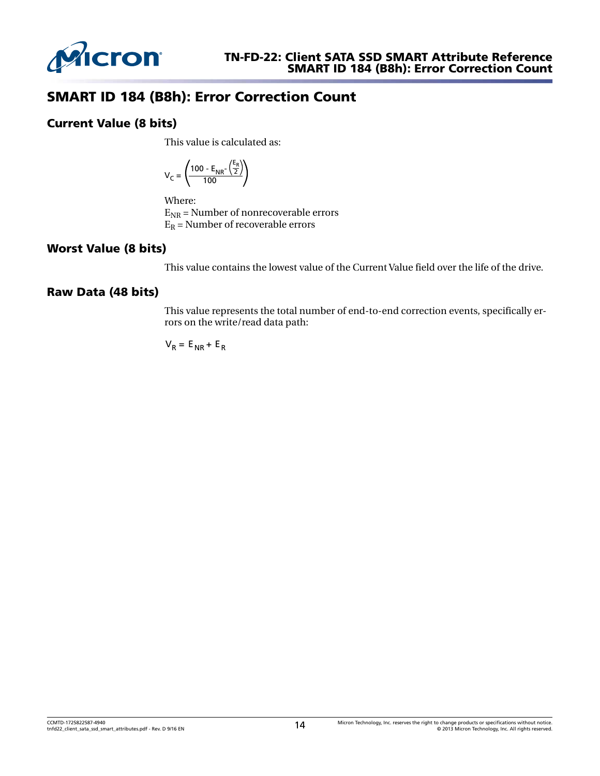

# SMART ID 184 (B8h): Error Correction Count

## Current Value (8 bits)

This value is calculated as:

$$
V_C = \left(\frac{100 - E_{NR} - \left(\frac{E_R}{2}\right)}{100}\right)
$$

Where:

 $E_{NR}$  = Number of nonrecoverable errors  $E_R$  = Number of recoverable errors

## Worst Value (8 bits)

This value contains the lowest value of the Current Value field over the life of the drive.

## Raw Data (48 bits)

This value represents the total number of end-to-end correction events, specifically errors on the write/read data path:

$$
V_R = E_{NR} + E_R
$$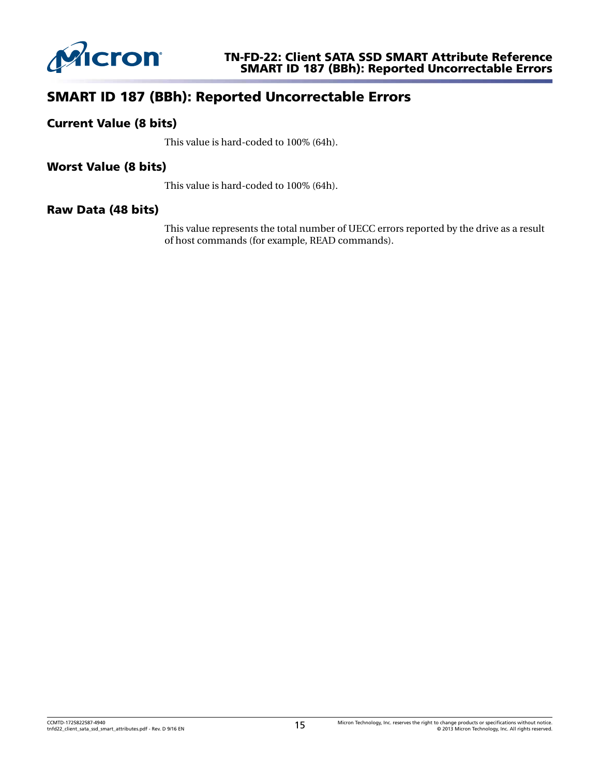

## SMART ID 187 (BBh): Reported Uncorrectable Errors

#### Current Value (8 bits)

This value is hard-coded to 100% (64h).

#### Worst Value (8 bits)

This value is hard-coded to 100% (64h).

#### Raw Data (48 bits)

This value represents the total number of UECC errors reported by the drive as a result of host commands (for example, READ commands).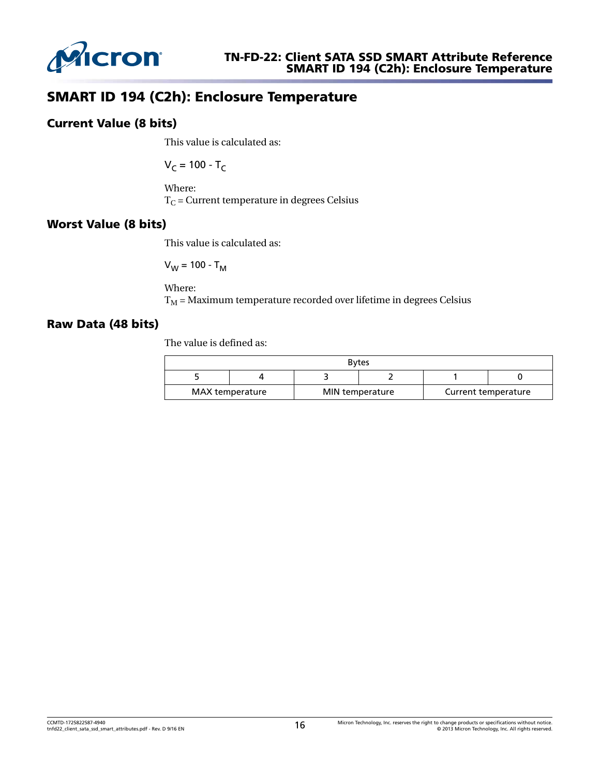

# SMART ID 194 (C2h): Enclosure Temperature

#### Current Value (8 bits)

This value is calculated as:

$$
V_C = 100 - T_C
$$

Where:  $T<sub>C</sub>$  = Current temperature in degrees Celsius

## Worst Value (8 bits)

This value is calculated as:

$$
V_W = 100 - T_M
$$

Where:  $T_M$  = Maximum temperature recorded over lifetime in degrees Celsius

#### Raw Data (48 bits)

The value is defined as:

| <b>Bytes</b> |                 |  |                 |  |                     |  |
|--------------|-----------------|--|-----------------|--|---------------------|--|
|              |                 |  |                 |  |                     |  |
|              | MAX temperature |  | MIN temperature |  | Current temperature |  |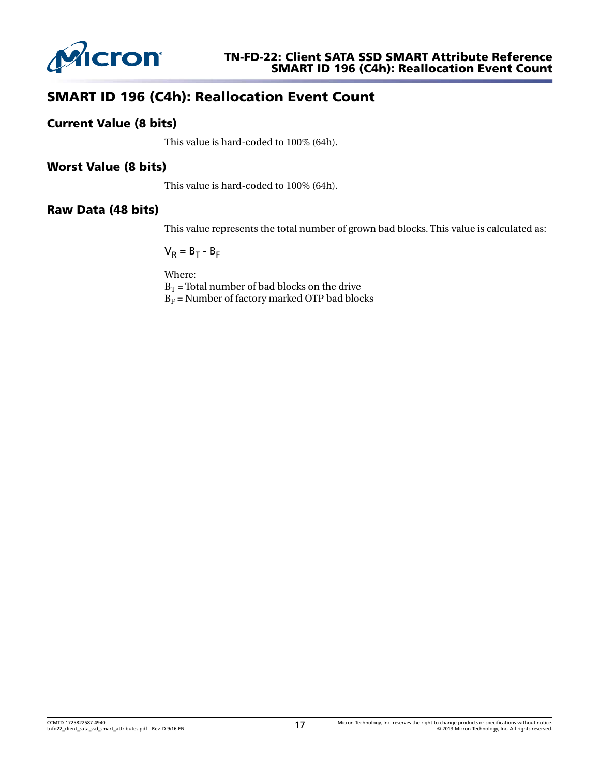

# SMART ID 196 (C4h): Reallocation Event Count

## Current Value (8 bits)

This value is hard-coded to 100% (64h).

## Worst Value (8 bits)

This value is hard-coded to 100% (64h).

#### Raw Data (48 bits)

This value represents the total number of grown bad blocks. This value is calculated as:

 $V_R = B_T - B_F$  $- B_F$ 

Where:  $B_T$  = Total number of bad blocks on the drive  $B_F$  = Number of factory marked OTP bad blocks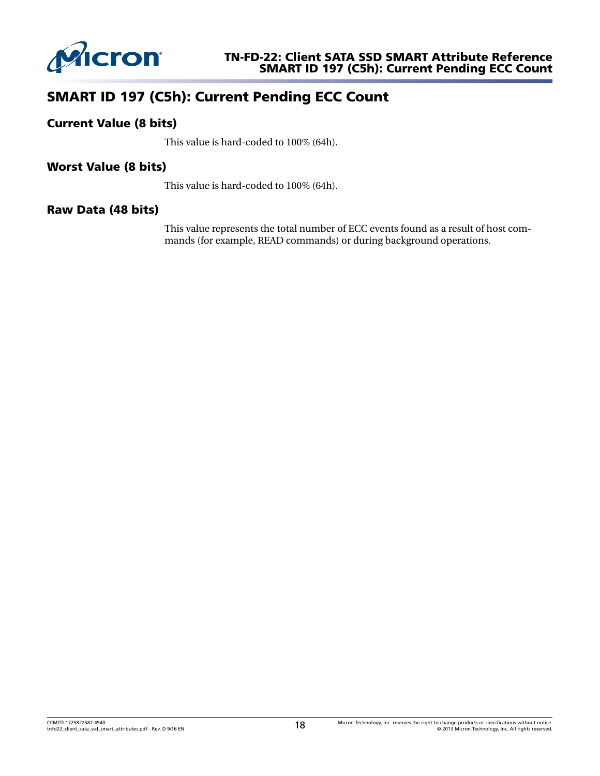

# SMART ID 197 (C5h): Current Pending ECC Count

## Current Value (8 bits)

This value is hard-coded to 100% (64h).

#### Worst Value (8 bits)

This value is hard-coded to 100% (64h).

#### Raw Data (48 bits)

This value represents the total number of ECC events found as a result of host commands (for example, READ commands) or during background operations.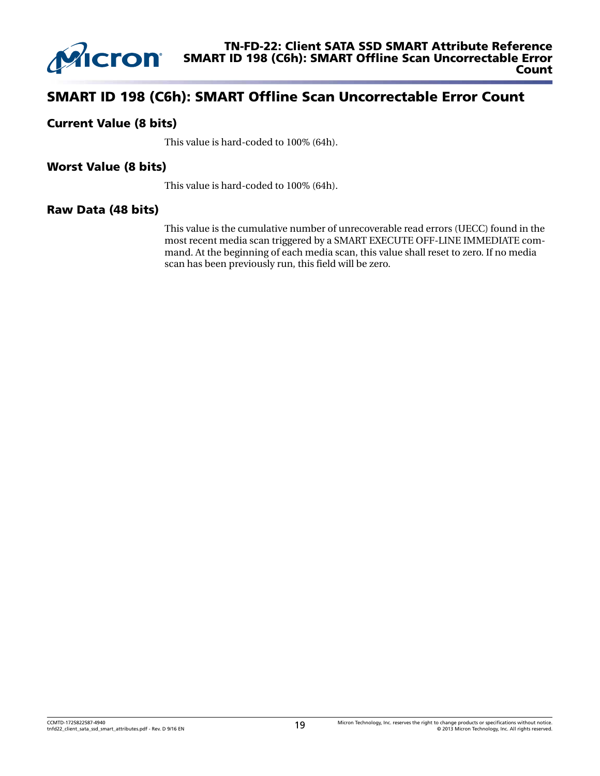

## SMART ID 198 (C6h): SMART Offline Scan Uncorrectable Error Count

#### Current Value (8 bits)

This value is hard-coded to 100% (64h).

#### Worst Value (8 bits)

This value is hard-coded to 100% (64h).

#### Raw Data (48 bits)

This value is the cumulative number of unrecoverable read errors (UECC) found in the most recent media scan triggered by a SMART EXECUTE OFF-LINE IMMEDIATE command. At the beginning of each media scan, this value shall reset to zero. If no media scan has been previously run, this field will be zero.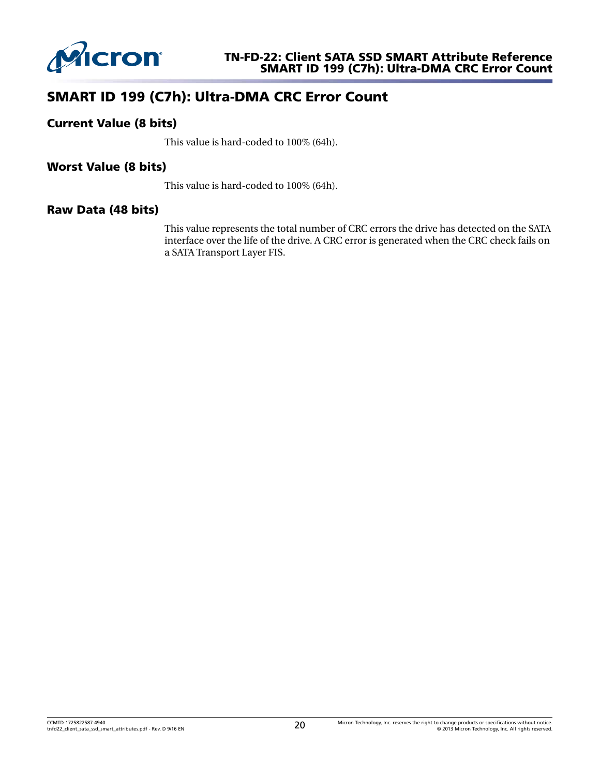

# SMART ID 199 (C7h): Ultra-DMA CRC Error Count

## Current Value (8 bits)

This value is hard-coded to 100% (64h).

## Worst Value (8 bits)

This value is hard-coded to 100% (64h).

#### Raw Data (48 bits)

This value represents the total number of CRC errors the drive has detected on the SATA interface over the life of the drive. A CRC error is generated when the CRC check fails on a SATA Transport Layer FIS.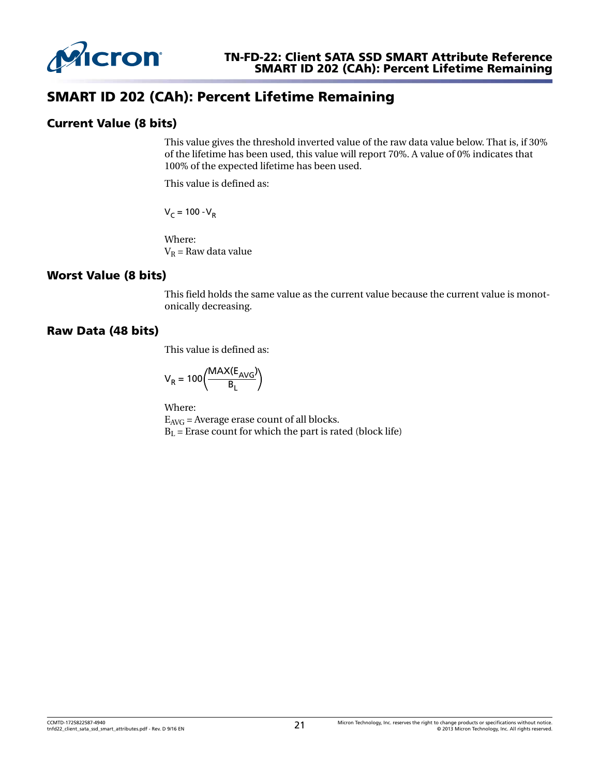

## SMART ID 202 (CAh): Percent Lifetime Remaining

## Current Value (8 bits)

This value gives the threshold inverted value of the raw data value below. That is, if 30% of the lifetime has been used, this value will report 70%. A value of 0% indicates that 100% of the expected lifetime has been used.

This value is defined as:

V<sub>C</sub> = 100 - V<sub>R</sub>

Where:  $V_R$  = Raw data value

## Worst Value (8 bits)

This field holds the same value as the current value because the current value is monotonically decreasing.

#### Raw Data (48 bits)

This value is defined as:

$$
V_R = 100 \left( \frac{MAX(E_{AVG})}{B_L} \right)
$$

Where:  $E_{AVG}$  = Average erase count of all blocks.  $B<sub>L</sub>$  = Erase count for which the part is rated (block life)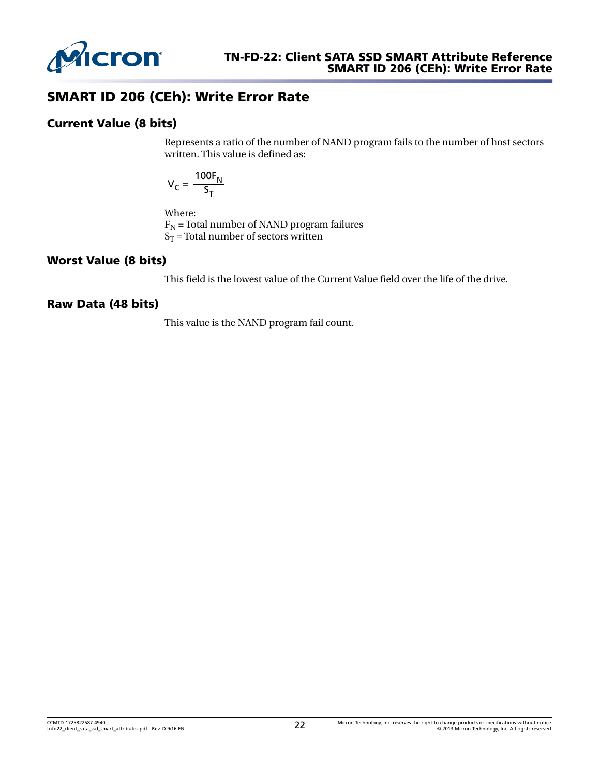

## SMART ID 206 (CEh): Write Error Rate

#### Current Value (8 bits)

Represents a ratio of the number of NAND program fails to the number of host sectors written. This value is defined as:

$$
V_C = \frac{100F_N}{S_T}
$$

Where:

 $F_N$  = Total number of NAND program failures  $S_T$  = Total number of sectors written

## Worst Value (8 bits)

This field is the lowest value of the Current Value field over the life of the drive.

## Raw Data (48 bits)

This value is the NAND program fail count.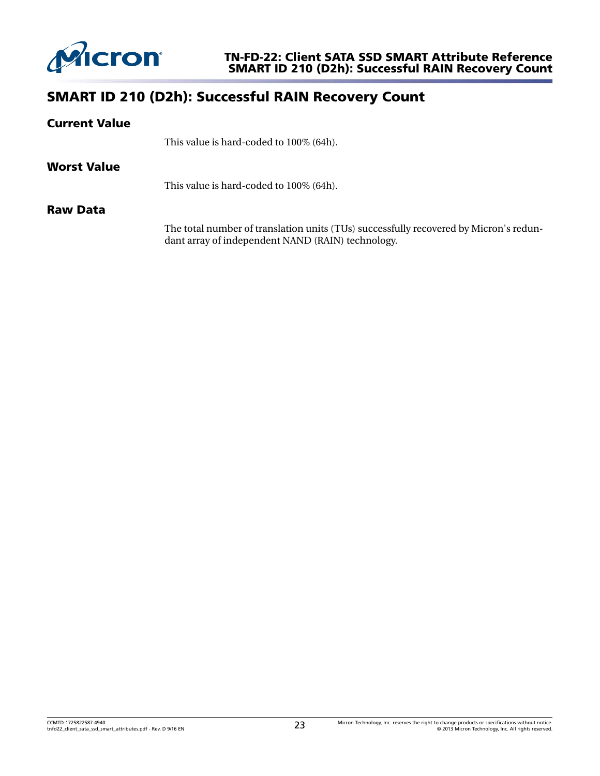

# SMART ID 210 (D2h): Successful RAIN Recovery Count

| <b>Current Value</b> |                                                                                                                                            |
|----------------------|--------------------------------------------------------------------------------------------------------------------------------------------|
|                      | This value is hard-coded to 100% (64h).                                                                                                    |
| <b>Worst Value</b>   |                                                                                                                                            |
|                      | This value is hard-coded to 100% (64h).                                                                                                    |
| <b>Raw Data</b>      |                                                                                                                                            |
|                      | The total number of translation units (TUs) successfully recovered by Micron's redun-<br>dant array of independent NAND (RAIN) technology. |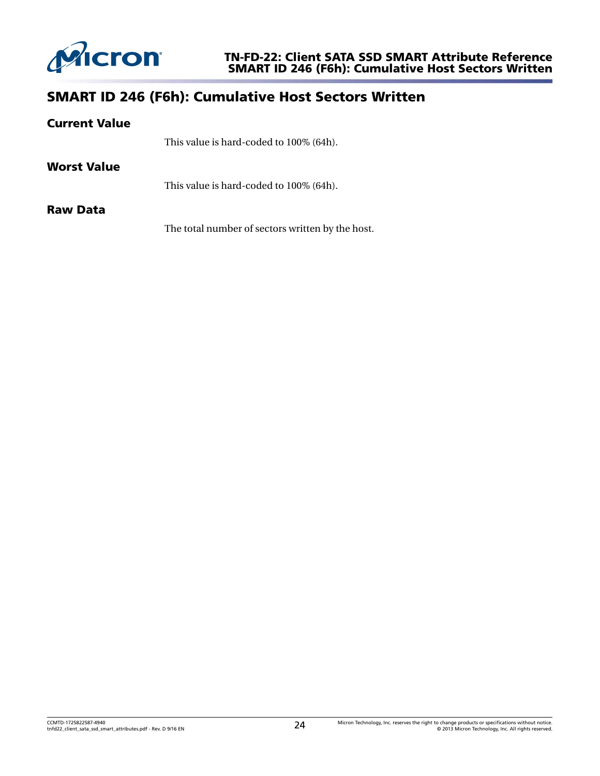

# SMART ID 246 (F6h): Cumulative Host Sectors Written

| <b>Current Value</b> |                                                  |
|----------------------|--------------------------------------------------|
|                      | This value is hard-coded to 100% (64h).          |
| Worst Value          |                                                  |
|                      | This value is hard-coded to 100% (64h).          |
| <b>Raw Data</b>      |                                                  |
|                      | The total number of sectors written by the host. |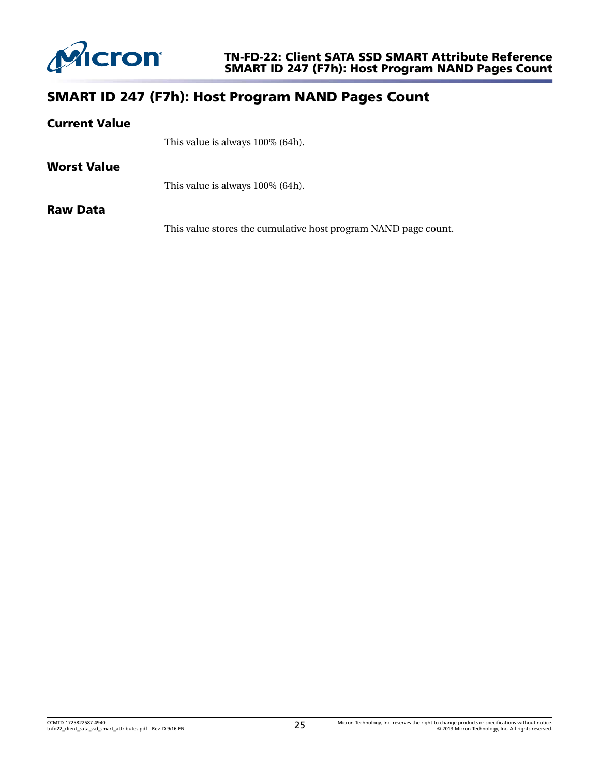

## SMART ID 247 (F7h): Host Program NAND Pages Count

#### Current Value

This value is always 100% (64h).

#### Worst Value

This value is always 100% (64h).

#### Raw Data

This value stores the cumulative host program NAND page count.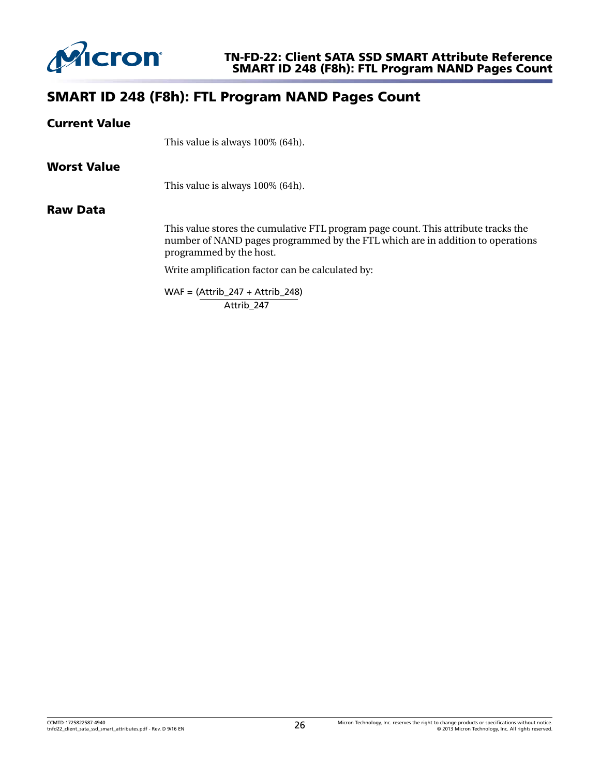

## SMART ID 248 (F8h): FTL Program NAND Pages Count

#### Current Value

This value is always 100% (64h).

#### Worst Value

This value is always 100% (64h).

#### Raw Data

This value stores the cumulative FTL program page count. This attribute tracks the number of NAND pages programmed by the FTL which are in addition to operations programmed by the host.

Write amplification factor can be calculated by:

WAF = (Attrib\_247 + Attrib\_248) Attrib\_247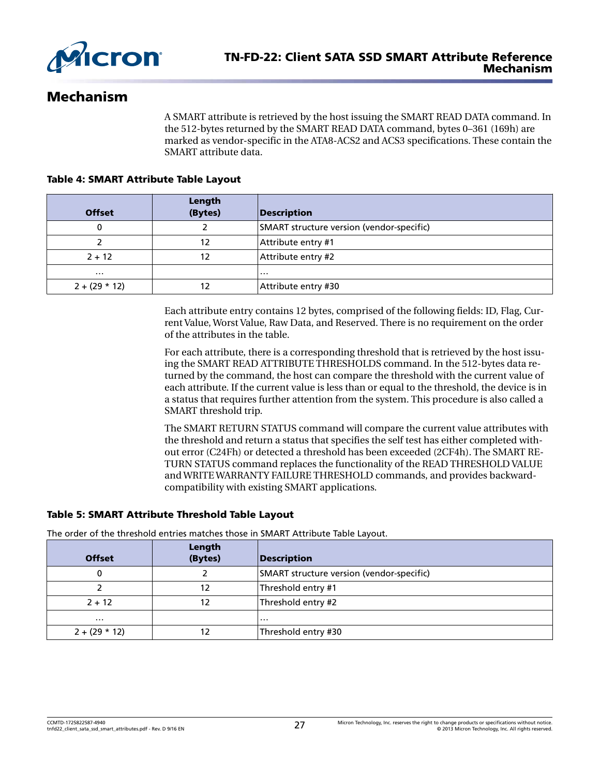

## Mechanism

A SMART attribute is retrieved by the host issuing the SMART READ DATA command. In the 512-bytes returned by the SMART READ DATA command, bytes 0–361 (169h) are marked as vendor-specific in the ATA8-ACS2 and ACS3 specifications. These contain the SMART attribute data.

#### Table 4: SMART Attribute Table Layout

| <b>Offset</b>   | Length<br>(Bytes) | Description                               |
|-----------------|-------------------|-------------------------------------------|
|                 |                   | SMART structure version (vendor-specific) |
|                 | 12                | Attribute entry #1                        |
| $2 + 12$        | 12                | Attribute entry #2                        |
| $\cdots$        |                   | .                                         |
| $2 + (29 * 12)$ |                   | Attribute entry #30                       |

Each attribute entry contains 12 bytes, comprised of the following fields: ID, Flag, Current Value, Worst Value, Raw Data, and Reserved. There is no requirement on the order of the attributes in the table.

For each attribute, there is a corresponding threshold that is retrieved by the host issuing the SMART READ ATTRIBUTE THRESHOLDS command. In the 512-bytes data returned by the command, the host can compare the threshold with the current value of each attribute. If the current value is less than or equal to the threshold, the device is in a status that requires further attention from the system. This procedure is also called a SMART threshold trip.

The SMART RETURN STATUS command will compare the current value attributes with the threshold and return a status that specifies the self test has either completed without error (C24Fh) or detected a threshold has been exceeded (2CF4h). The SMART RE-TURN STATUS command replaces the functionality of the READ THRESHOLD VALUE and WRITE WARRANTY FAILURE THRESHOLD commands, and provides backwardcompatibility with existing SMART applications.

#### Table 5: SMART Attribute Threshold Table Layout

The order of the threshold entries matches those in SMART Attribute Table Layout.

| <b>Offset</b>   | Length<br>(Bytes) | <b>Description</b>                        |
|-----------------|-------------------|-------------------------------------------|
| 0               |                   | SMART structure version (vendor-specific) |
|                 | 12                | Threshold entry #1                        |
| $2 + 12$        | 12                | Threshold entry #2                        |
| $\cdots$        |                   | .                                         |
| $2 + (29 * 12)$ |                   | Threshold entry #30                       |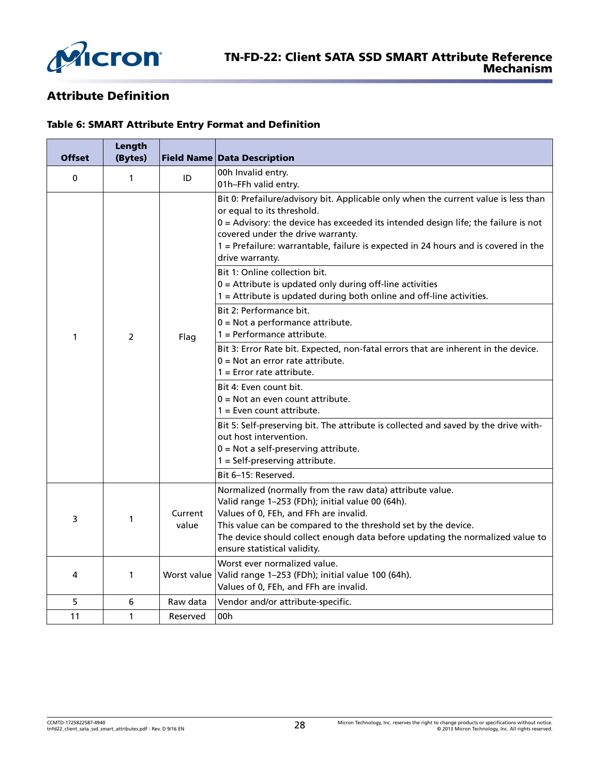

## Attribute Definition

#### Table 6: SMART Attribute Entry Format and Definition

| <b>Offset</b> | Length<br>(Bytes) |                  | <b>Field Name Data Description</b>                                                                                                                                                                                                                                                                                                                                                       |
|---------------|-------------------|------------------|------------------------------------------------------------------------------------------------------------------------------------------------------------------------------------------------------------------------------------------------------------------------------------------------------------------------------------------------------------------------------------------|
| $\mathbf 0$   | $\mathbf{1}$      | ID               | 00h Invalid entry.<br>01h-FFh valid entry.                                                                                                                                                                                                                                                                                                                                               |
|               |                   |                  | Bit 0: Prefailure/advisory bit. Applicable only when the current value is less than<br>or equal to its threshold.<br>$0 =$ Advisory: the device has exceeded its intended design life; the failure is not<br>covered under the drive warranty.<br>1 = Prefailure: warrantable, failure is expected in 24 hours and is covered in the<br>drive warranty.<br>Bit 1: Online collection bit. |
|               |                   |                  | $0 =$ Attribute is updated only during off-line activities<br>1 = Attribute is updated during both online and off-line activities.                                                                                                                                                                                                                                                       |
| 1             | 2                 | Flag             | Bit 2: Performance bit.<br>$0 = Not$ a performance attribute.<br>$1 =$ Performance attribute.                                                                                                                                                                                                                                                                                            |
|               |                   |                  | Bit 3: Error Rate bit. Expected, non-fatal errors that are inherent in the device.<br>$0 = Not$ an error rate attribute.<br>$1 =$ Error rate attribute.                                                                                                                                                                                                                                  |
|               |                   |                  | Bit 4: Even count bit.<br>$0 = Not$ an even count attribute.<br>$1 =$ Even count attribute.                                                                                                                                                                                                                                                                                              |
|               |                   |                  | Bit 5: Self-preserving bit. The attribute is collected and saved by the drive with-<br>out host intervention.<br>$0 = Not$ a self-preserving attribute.<br>$1 = Self-preserving attribute.$                                                                                                                                                                                              |
|               |                   |                  | Bit 6-15: Reserved.                                                                                                                                                                                                                                                                                                                                                                      |
| 3             | 1                 | Current<br>value | Normalized (normally from the raw data) attribute value.<br>Valid range 1-253 (FDh); initial value 00 (64h).<br>Values of 0, FEh, and FFh are invalid.<br>This value can be compared to the threshold set by the device.<br>The device should collect enough data before updating the normalized value to<br>ensure statistical validity.                                                |
| 4             | 1                 | Worst value      | Worst ever normalized value.<br>Valid range 1-253 (FDh); initial value 100 (64h).<br>Values of 0, FEh, and FFh are invalid.                                                                                                                                                                                                                                                              |
| 5             | 6                 | Raw data         | Vendor and/or attribute-specific.                                                                                                                                                                                                                                                                                                                                                        |
| 11            | 1                 | Reserved         | 00h                                                                                                                                                                                                                                                                                                                                                                                      |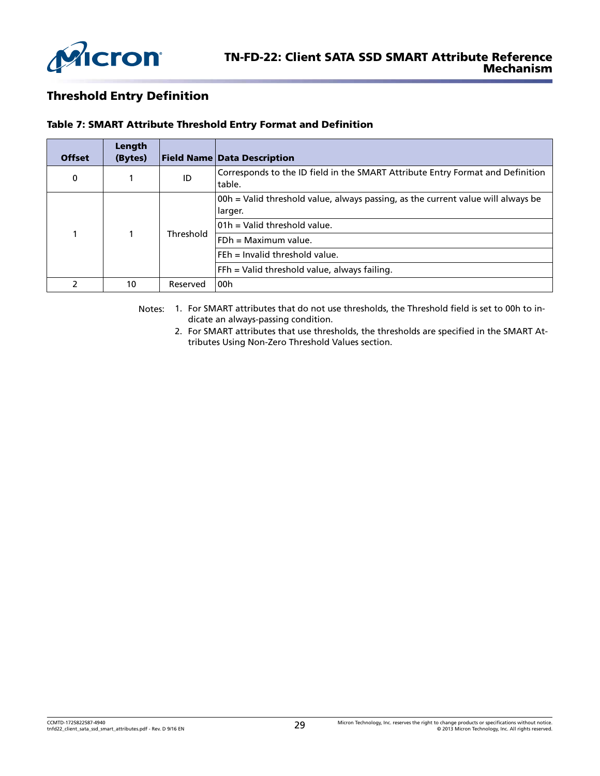

## Threshold Entry Definition

|  | Table 7: SMART Attribute Threshold Entry Format and Definition |  |
|--|----------------------------------------------------------------|--|
|  |                                                                |  |

| <b>Offset</b> | Length<br>(Bytes) |                                                                                             | <b>Field Name Data Description</b>                                                       |
|---------------|-------------------|---------------------------------------------------------------------------------------------|------------------------------------------------------------------------------------------|
| 0             |                   | ID                                                                                          | Corresponds to the ID field in the SMART Attribute Entry Format and Definition<br>table. |
|               |                   | 00h = Valid threshold value, always passing, as the current value will always be<br>larger. |                                                                                          |
|               |                   | Threshold                                                                                   | 101h = Valid threshold value.                                                            |
|               |                   |                                                                                             | $FDh = Maximum value.$                                                                   |
|               |                   |                                                                                             | $F E h =$ Invalid threshold value.                                                       |
|               |                   | FFh = Valid threshold value, always failing.                                                |                                                                                          |
| 2             | 10                | Reserved                                                                                    | 00h                                                                                      |

Notes: 1. For SMART attributes that do not use thresholds, the Threshold field is set to 00h to indicate an always-passing condition.

2. For SMART attributes that use thresholds, the thresholds are specified in the [SMART At](#page-2-0)[tributes Using Non-Zero Threshold Values](#page-2-0) section.